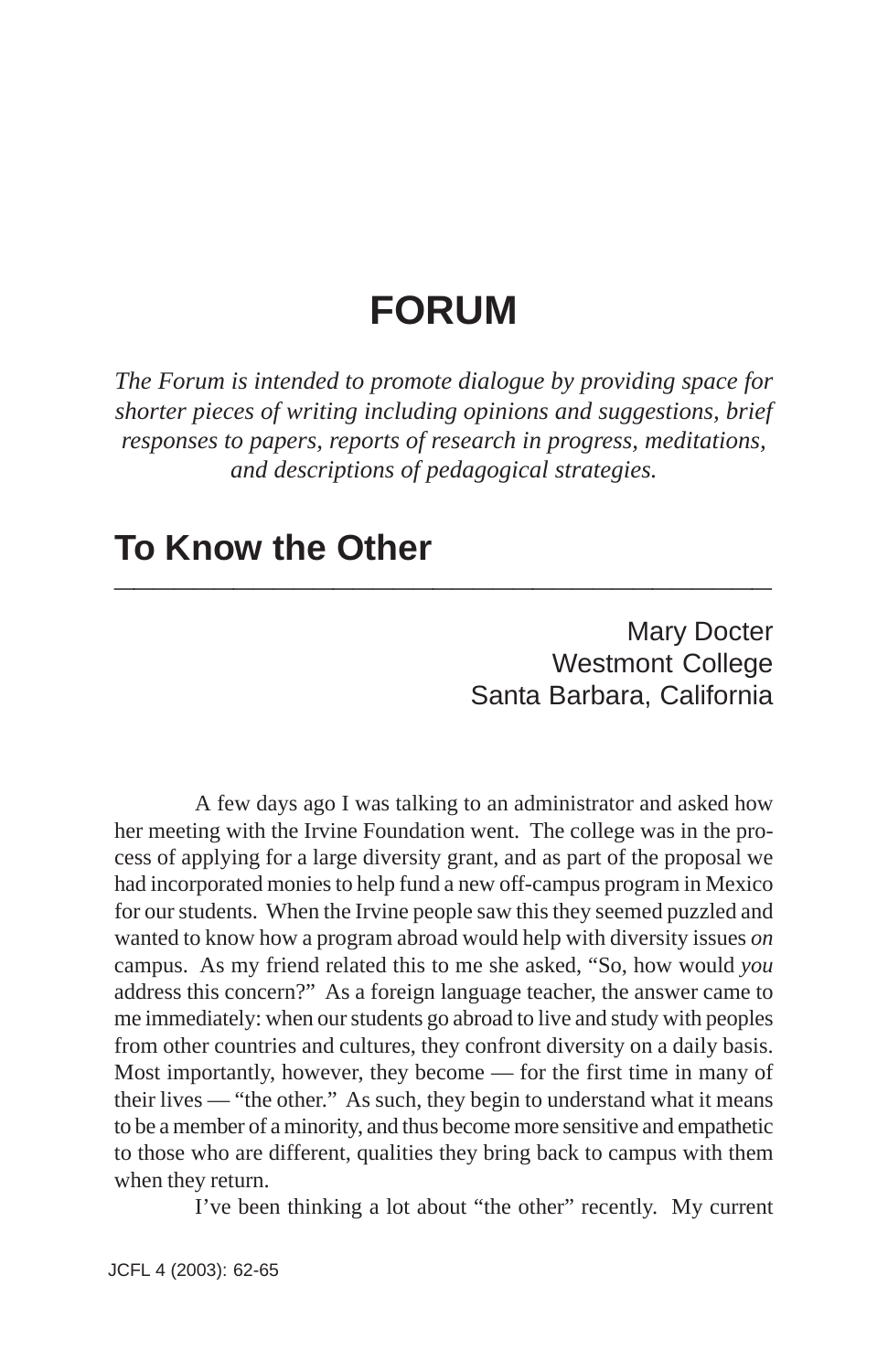# **FORUM**

*The Forum is intended to promote dialogue by providing space for shorter pieces of writing including opinions and suggestions, brief responses to papers, reports of research in progress, meditations, and descriptions of pedagogical strategies.*

### **To Know the Other \_\_\_\_\_\_\_\_\_\_\_\_\_\_\_\_\_\_\_\_\_\_\_\_\_\_\_\_\_\_\_\_\_**

Mary Docter Westmont College Santa Barbara, California

A few days ago I was talking to an administrator and asked how her meeting with the Irvine Foundation went. The college was in the process of applying for a large diversity grant, and as part of the proposal we had incorporated monies to help fund a new off-campus program in Mexico for our students. When the Irvine people saw this they seemed puzzled and wanted to know how a program abroad would help with diversity issues *on* campus. As my friend related this to me she asked, "So, how would *you* address this concern?" As a foreign language teacher, the answer came to me immediately: when our students go abroad to live and study with peoples from other countries and cultures, they confront diversity on a daily basis. Most importantly, however, they become — for the first time in many of their lives — "the other." As such, they begin to understand what it means to be a member of a minority, and thus become more sensitive and empathetic to those who are different, qualities they bring back to campus with them when they return.

I've been thinking a lot about "the other" recently. My current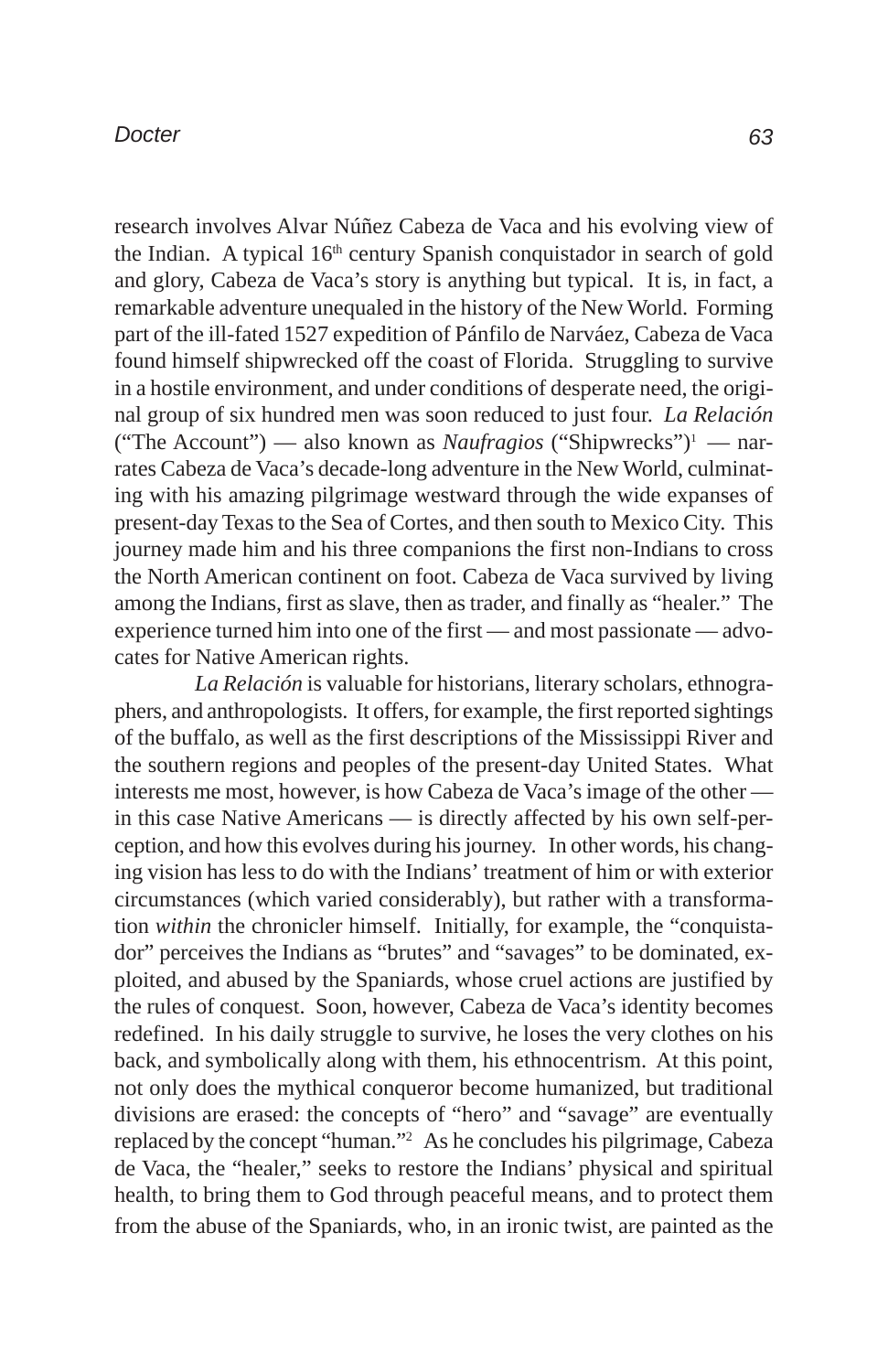#### *Docter*

research involves Alvar Núñez Cabeza de Vaca and his evolving view of the Indian. A typical 16<sup>th</sup> century Spanish conquistador in search of gold and glory, Cabeza de Vaca's story is anything but typical. It is, in fact, a remarkable adventure unequaled in the history of the New World. Forming part of the ill-fated 1527 expedition of Pánfilo de Narváez, Cabeza de Vaca found himself shipwrecked off the coast of Florida. Struggling to survive in a hostile environment, and under conditions of desperate need, the original group of six hundred men was soon reduced to just four. *La Relación* ("The Account") — also known as *Naufragios* ("Shipwrecks")1 — narrates Cabeza de Vaca's decade-long adventure in the New World, culminating with his amazing pilgrimage westward through the wide expanses of present-day Texas to the Sea of Cortes, and then south to Mexico City. This journey made him and his three companions the first non-Indians to cross the North American continent on foot. Cabeza de Vaca survived by living among the Indians, first as slave, then as trader, and finally as "healer." The experience turned him into one of the first — and most passionate — advocates for Native American rights.

*La Relación* is valuable for historians, literary scholars, ethnographers, and anthropologists. It offers, for example, the first reported sightings of the buffalo, as well as the first descriptions of the Mississippi River and the southern regions and peoples of the present-day United States. What interests me most, however, is how Cabeza de Vaca's image of the other in this case Native Americans — is directly affected by his own self-perception, and how this evolves during his journey. In other words, his changing vision has less to do with the Indians' treatment of him or with exterior circumstances (which varied considerably), but rather with a transformation *within* the chronicler himself. Initially, for example, the "conquistador" perceives the Indians as "brutes" and "savages" to be dominated, exploited, and abused by the Spaniards, whose cruel actions are justified by the rules of conquest. Soon, however, Cabeza de Vaca's identity becomes redefined. In his daily struggle to survive, he loses the very clothes on his back, and symbolically along with them, his ethnocentrism. At this point, not only does the mythical conqueror become humanized, but traditional divisions are erased: the concepts of "hero" and "savage" are eventually replaced by the concept "human."2 As he concludes his pilgrimage, Cabeza de Vaca, the "healer," seeks to restore the Indians' physical and spiritual health, to bring them to God through peaceful means, and to protect them from the abuse of the Spaniards, who, in an ironic twist, are painted as the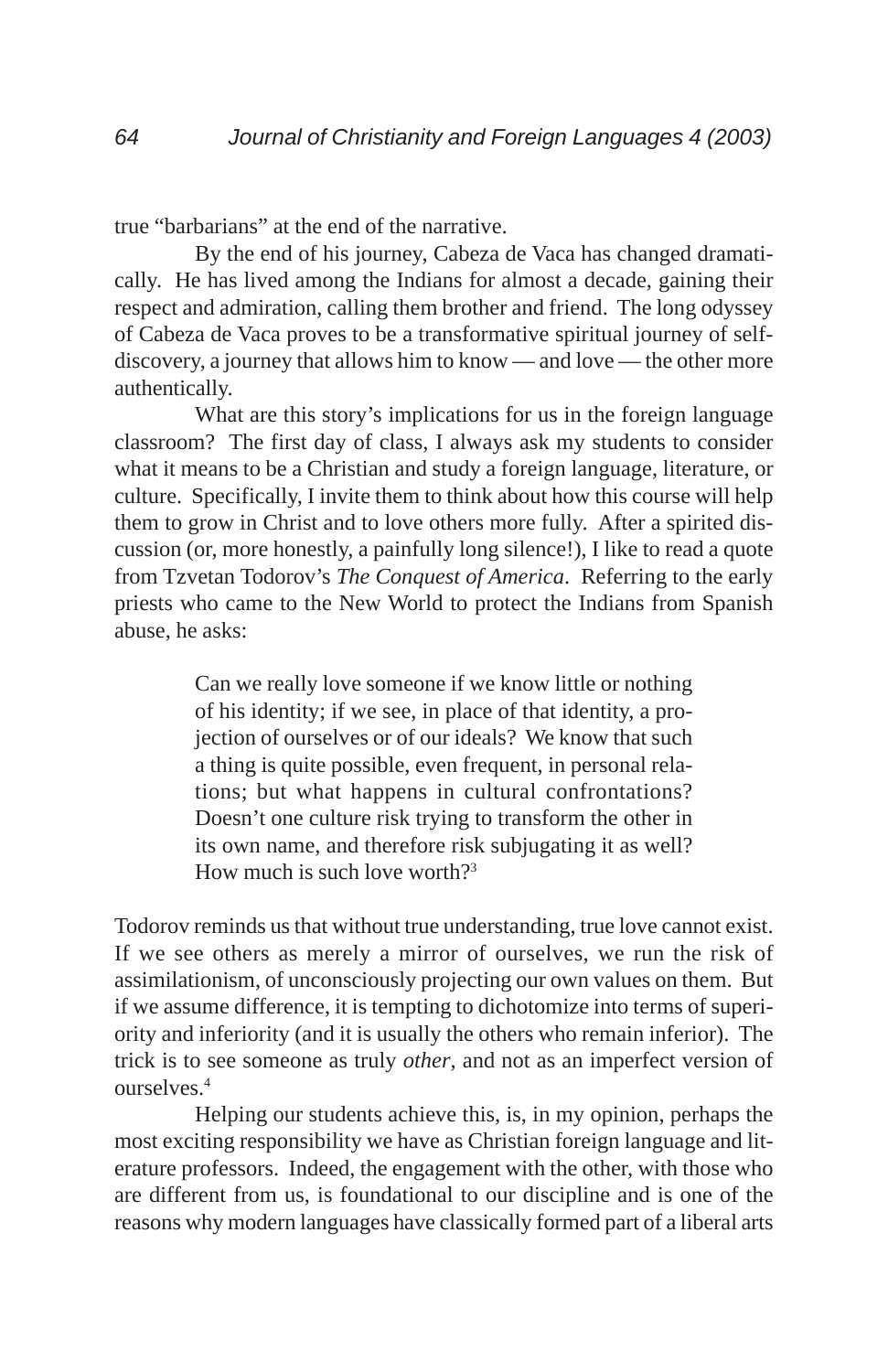true "barbarians" at the end of the narrative.

By the end of his journey, Cabeza de Vaca has changed dramatically. He has lived among the Indians for almost a decade, gaining their respect and admiration, calling them brother and friend. The long odyssey of Cabeza de Vaca proves to be a transformative spiritual journey of selfdiscovery, a journey that allows him to know — and love — the other more authentically.

What are this story's implications for us in the foreign language classroom? The first day of class, I always ask my students to consider what it means to be a Christian and study a foreign language, literature, or culture. Specifically, I invite them to think about how this course will help them to grow in Christ and to love others more fully. After a spirited discussion (or, more honestly, a painfully long silence!), I like to read a quote from Tzvetan Todorov's *The Conquest of America*. Referring to the early priests who came to the New World to protect the Indians from Spanish abuse, he asks:

> Can we really love someone if we know little or nothing of his identity; if we see, in place of that identity, a projection of ourselves or of our ideals? We know that such a thing is quite possible, even frequent, in personal relations; but what happens in cultural confrontations? Doesn't one culture risk trying to transform the other in its own name, and therefore risk subjugating it as well? How much is such love worth $2<sup>3</sup>$

Todorov reminds us that without true understanding, true love cannot exist. If we see others as merely a mirror of ourselves, we run the risk of assimilationism, of unconsciously projecting our own values on them. But if we assume difference, it is tempting to dichotomize into terms of superiority and inferiority (and it is usually the others who remain inferior). The trick is to see someone as truly *other*, and not as an imperfect version of ourselves.4

Helping our students achieve this, is, in my opinion, perhaps the most exciting responsibility we have as Christian foreign language and literature professors. Indeed, the engagement with the other, with those who are different from us, is foundational to our discipline and is one of the reasons why modern languages have classically formed part of a liberal arts